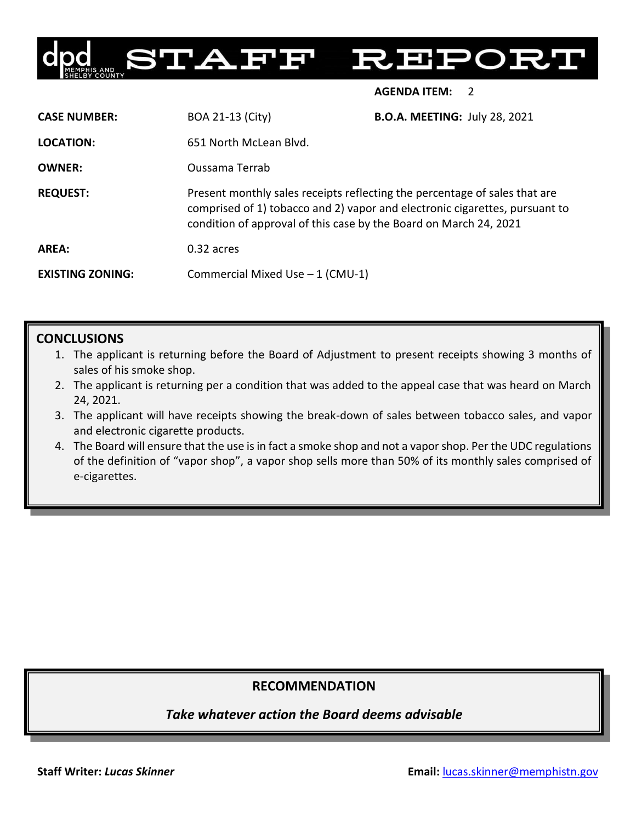

**AGENDA ITEM:** 2

| <b>CASE NUMBER:</b>     | <b>BOA 21-13 (City)</b>                                                                                                                                                                                                        | <b>B.O.A. MEETING: July 28, 2021</b> |
|-------------------------|--------------------------------------------------------------------------------------------------------------------------------------------------------------------------------------------------------------------------------|--------------------------------------|
| <b>LOCATION:</b>        | 651 North McLean Blyd.                                                                                                                                                                                                         |                                      |
| <b>OWNER:</b>           | Oussama Terrab                                                                                                                                                                                                                 |                                      |
| <b>REQUEST:</b>         | Present monthly sales receipts reflecting the percentage of sales that are<br>comprised of 1) tobacco and 2) vapor and electronic cigarettes, pursuant to<br>condition of approval of this case by the Board on March 24, 2021 |                                      |
| AREA:                   | 0.32 acres                                                                                                                                                                                                                     |                                      |
| <b>EXISTING ZONING:</b> | Commercial Mixed Use $-1$ (CMU-1)                                                                                                                                                                                              |                                      |

## **CONCLUSIONS**

- 1. The applicant is returning before the Board of Adjustment to present receipts showing 3 months of sales of his smoke shop.
- 2. The applicant is returning per a condition that was added to the appeal case that was heard on March 24, 2021.
- 3. The applicant will have receipts showing the break-down of sales between tobacco sales, and vapor and electronic cigarette products.
- 4. The Board will ensure that the use is in fact a smoke shop and not a vapor shop. Per the UDC regulations of the definition of "vapor shop", a vapor shop sells more than 50% of its monthly sales comprised of e-cigarettes.

# **RECOMMENDATION**

*Take whatever action the Board deems advisable*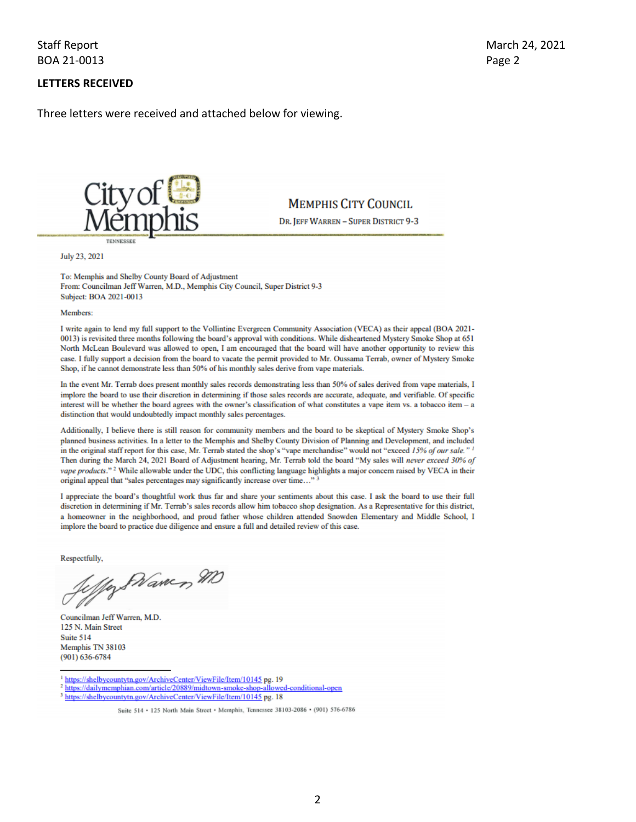### **Staff Report** BOA 21-0013

### **LETTERS RECEIVED**

Three letters were received and attached below for viewing.



**MEMPHIS CITY COUNCIL** 

DR. JEFF WARREN - SUPER DISTRICT 9-3

July 23, 2021

To: Memphis and Shelby County Board of Adjustment From: Councilman Jeff Warren, M.D., Memphis City Council, Super District 9-3 Subject: BOA 2021-0013

Members:

I write again to lend my full support to the Vollintine Evergreen Community Association (VECA) as their appeal (BOA 2021-0013) is revisited three months following the board's approval with conditions. While disheartened Mystery Smoke Shop at 651 North McLean Boulevard was allowed to open, I am encouraged that the board will have another opportunity to review this case. I fully support a decision from the board to vacate the permit provided to Mr. Oussama Terrab, owner of Mystery Smoke Shop, if he cannot demonstrate less than 50% of his monthly sales derive from vape materials.

In the event Mr. Terrab does present monthly sales records demonstrating less than 50% of sales derived from vape materials, I implore the board to use their discretion in determining if those sales records are accurate, adequate, and verifiable. Of specific interest will be whether the board agrees with the owner's classification of what constitutes a vape item vs. a tobacco item - a distinction that would undoubtedly impact monthly sales percentages.

Additionally, I believe there is still reason for community members and the board to be skeptical of Mystery Smoke Shop's planned business activities. In a letter to the Memphis and Shelby County Division of Planning and Development, and included in the original staff report for this case, Mr. Terrab stated the shop's "vape merchandise" would not "exceed 15% of our sale." Then during the March 24, 2021 Board of Adjustment hearing, Mr. Terrab told the board "My sales will never exceed 30% of vape products."<sup>2</sup> While allowable under the UDC, this conflicting language highlights a major concern raised by VECA in their original appeal that "sales percentages may significantly increase over time..."

I appreciate the board's thoughtful work thus far and share your sentiments about this case. I ask the board to use their full discretion in determining if Mr. Terrab's sales records allow him tobacco shop designation. As a Representative for this district, a homeowner in the neighborhood, and proud father whose children attended Snowden Elementary and Middle School, I implore the board to practice due diligence and ensure a full and detailed review of this case.

Respectfully,

Way SNamen MD

Councilman Jeff Warren, M.D. 125 N. Main Street Suite 514 Memphis TN 38103  $(901) 636 - 6784$ 

<sup>1</sup> https://shelbycountytn.gov/ArchiveCenter/ViewFile/Item/10145 pg. 19

- <sup>2</sup> https://dailymemphian.com/article/20889/midtown-smoke-shop-allowed-conditional-open
- <sup>3</sup> https://shelbycountytn.gov/ArchiveCenter/ViewFile/Item/10145 pg. 18

Suite 514 . 125 North Main Street . Memphis, Tennessee 38103-2086 . (901) 576-6786